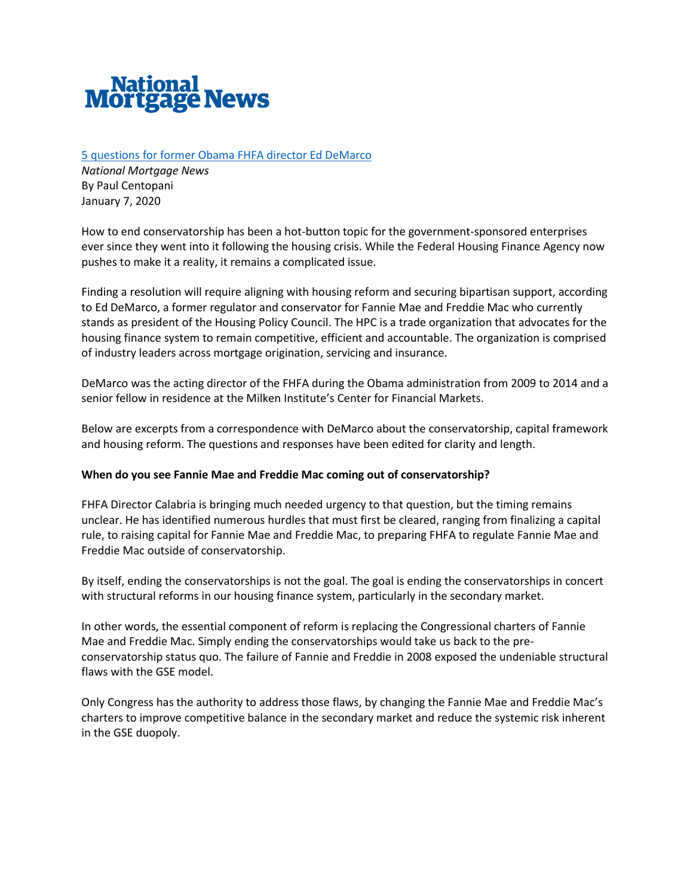

# [5 questions for former Obama FHFA director Ed DeMarco](https://www.nationalmortgagenews.com/news/5-questions-for-former-obama-fhfa-director-ed-demarco)

*National Mortgage News* By Paul Centopani January 7, 2020

How to end conservatorship has been a hot-button topic for the government-sponsored enterprises ever since they went into it following the housing crisis. While the Federal Housing Finance Agency now pushes to make it a reality, it remains a complicated issue.

Finding a resolution will require aligning with housing reform and securing bipartisan support, according to Ed DeMarco, a former regulator and conservator for Fannie Mae and Freddie Mac who currently stands as president of the Housing Policy Council. The HPC is a trade organization that advocates for the housing finance system to remain competitive, efficient and accountable. The organization is comprised of industry leaders across mortgage origination, servicing and insurance.

DeMarco was the acting director of the FHFA during the Obama administration from 2009 to 2014 and a senior fellow in residence at the Milken Institute's Center for Financial Markets.

Below are excerpts from a correspondence with DeMarco about the conservatorship, capital framework and housing reform. The questions and responses have been edited for clarity and length.

## **When do you see Fannie Mae and Freddie Mac coming out of conservatorship?**

FHFA Director Calabria is bringing much needed urgency to that question, but the timing remains unclear. He has identified numerous hurdles that must first be cleared, ranging from finalizing a capital rule, to raising capital for Fannie Mae and Freddie Mac, to preparing FHFA to regulate Fannie Mae and Freddie Mac outside of conservatorship.

By itself, ending the conservatorships is not the goal. The goal is ending the conservatorships in concert with structural reforms in our housing finance system, particularly in the secondary market.

In other words, the essential component of reform is replacing the Congressional charters of Fannie Mae and Freddie Mac. Simply ending the conservatorships would take us back to the preconservatorship status quo. The failure of Fannie and Freddie in 2008 exposed the undeniable structural flaws with the GSE model.

Only Congress has the authority to address those flaws, by changing the Fannie Mae and Freddie Mac's charters to improve competitive balance in the secondary market and reduce the systemic risk inherent in the GSE duopoly.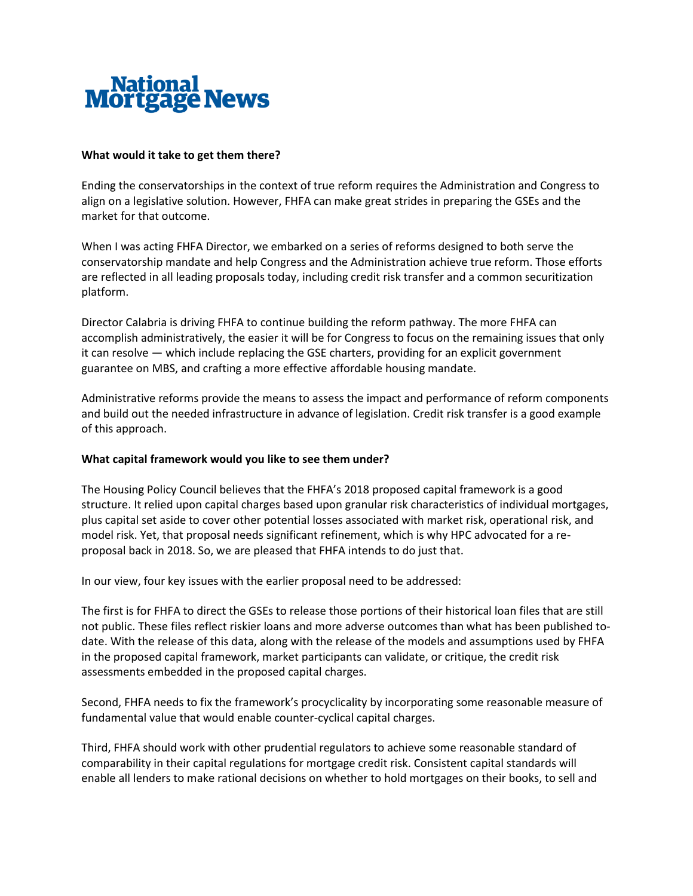

### **What would it take to get them there?**

Ending the conservatorships in the context of true reform requires the Administration and Congress to align on a legislative solution. However, FHFA can make great strides in preparing the GSEs and the market for that outcome.

When I was acting FHFA Director, we embarked on a series of reforms designed to both serve the conservatorship mandate and help Congress and the Administration achieve true reform. Those efforts are reflected in all leading proposals today, including credit risk transfer and a common securitization platform.

Director Calabria is driving FHFA to continue building the reform pathway. The more FHFA can accomplish administratively, the easier it will be for Congress to focus on the remaining issues that only it can resolve — which include replacing the GSE charters, providing for an explicit government guarantee on MBS, and crafting a more effective affordable housing mandate.

Administrative reforms provide the means to assess the impact and performance of reform components and build out the needed infrastructure in advance of legislation. Credit risk transfer is a good example of this approach.

#### **What capital framework would you like to see them under?**

The Housing Policy Council believes that the FHFA's 2018 proposed capital framework is a good structure. It relied upon capital charges based upon granular risk characteristics of individual mortgages, plus capital set aside to cover other potential losses associated with market risk, operational risk, and model risk. Yet, that proposal needs significant refinement, which is why HPC advocated for a reproposal back in 2018. So, we are pleased that FHFA intends to do just that.

In our view, four key issues with the earlier proposal need to be addressed:

The first is for FHFA to direct the GSEs to release those portions of their historical loan files that are still not public. These files reflect riskier loans and more adverse outcomes than what has been published todate. With the release of this data, along with the release of the models and assumptions used by FHFA in the proposed capital framework, market participants can validate, or critique, the credit risk assessments embedded in the proposed capital charges.

Second, FHFA needs to fix the framework's procyclicality by incorporating some reasonable measure of fundamental value that would enable counter-cyclical capital charges.

Third, FHFA should work with other prudential regulators to achieve some reasonable standard of comparability in their capital regulations for mortgage credit risk. Consistent capital standards will enable all lenders to make rational decisions on whether to hold mortgages on their books, to sell and